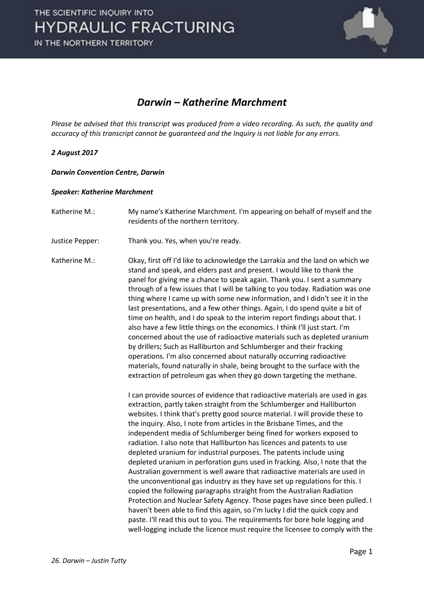

### *Darwin – Katherine Marchment*

*Please be advised that this transcript was produced from a video recording. As such, the quality and accuracy of this transcript cannot be guaranteed and the Inquiry is not liable for any errors.* 

#### *2 August 2017*

*Darwin Convention Centre, Darwin* 

#### *Speaker: Katherine Marchment*

Katherine M.: My name's Katherine Marchment. I'm appearing on behalf of myself and the residents of the northern territory.

Justice Pepper: Thank you. Yes, when you're ready.

Katherine M.: Okay, first off I'd like to acknowledge the Larrakia and the land on which we stand and speak, and elders past and present. I would like to thank the panel for giving me a chance to speak again. Thank you. I sent a summary through of a few issues that I will be talking to you today. Radiation was one thing where I came up with some new information, and I didn't see it in the last presentations, and a few other things. Again, I do spend quite a bit of time on health, and I do speak to the interim report findings about that. I also have a few little things on the economics. I think I'll just start. I'm concerned about the use of radioactive materials such as depleted uranium by drillers; Such as Halliburton and Schlumberger and their fracking operations. I'm also concerned about naturally occurring radioactive materials, found naturally in shale, being brought to the surface with the extraction of petroleum gas when they go down targeting the methane.

> I can provide sources of evidence that radioactive materials are used in gas extraction, partly taken straight from the Schlumberger and Halliburton websites. I think that's pretty good source material. I will provide these to the inquiry. Also, I note from articles in the Brisbane Times, and the independent media of Schlumberger being fined for workers exposed to radiation. I also note that Halliburton has licences and patents to use depleted uranium for industrial purposes. The patents include using depleted uranium in perforation guns used in fracking. Also, I note that the Australian government is well aware that radioactive materials are used in the unconventional gas industry as they have set up regulations for this. I copied the following paragraphs straight from the Australian Radiation Protection and Nuclear Safety Agency. Those pages have since been pulled. I haven't been able to find this again, so I'm lucky I did the quick copy and paste. I'll read this out to you. The requirements for bore hole logging and well-logging include the licence must require the licensee to comply with the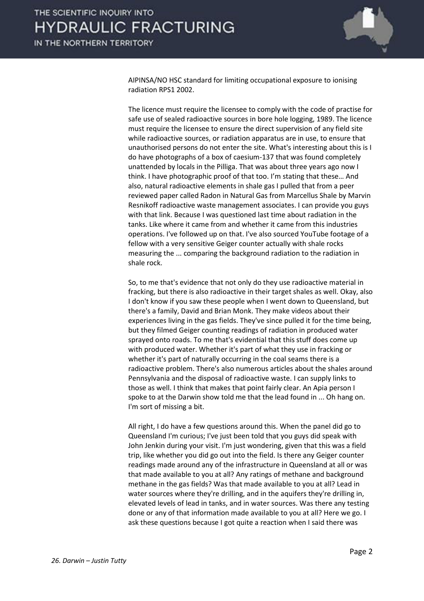

AIPINSA/NO HSC standard for limiting occupational exposure to ionising radiation RPS1 2002.

 The licence must require the licensee to comply with the code of practise for safe use of sealed radioactive sources in bore hole logging, 1989. The licence must require the licensee to ensure the direct supervision of any field site while radioactive sources, or radiation apparatus are in use, to ensure that unauthorised persons do not enter the site. What's interesting about this is I do have photographs of a box of caesium-137 that was found completely unattended by locals in the Pilliga. That was about three years ago now I think. I have photographic proof of that too. I'm stating that these... And also, natural radioactive elements in shale gas I pulled that from a peer reviewed paper called Radon in Natural Gas from Marcellus Shale by Marvin Resnikoff radioactive waste management associates. I can provide you guys with that link. Because I was questioned last time about radiation in the tanks. Like where it came from and whether it came from this industries operations. I've followed up on that. I've also sourced YouTube footage of a fellow with a very sensitive Geiger counter actually with shale rocks measuring the ... comparing the background radiation to the radiation in shale rock.

 So, to me that's evidence that not only do they use radioactive material in fracking, but there is also radioactive in their target shales as well. Okay, also I don't know if you saw these people when I went down to Queensland, but there's a family, David and Brian Monk. They make videos about their experiences living in the gas fields. They've since pulled it for the time being, but they filmed Geiger counting readings of radiation in produced water sprayed onto roads. To me that's evidential that this stuff does come up with produced water. Whether it's part of what they use in fracking or whether it's part of naturally occurring in the coal seams there is a radioactive problem. There's also numerous articles about the shales around Pennsylvania and the disposal of radioactive waste. I can supply links to those as well. I think that makes that point fairly clear. An Apia person I spoke to at the Darwin show told me that the lead found in ... Oh hang on. I'm sort of missing a bit.

 All right, I do have a few questions around this. When the panel did go to Queensland I'm curious; I've just been told that you guys did speak with John Jenkin during your visit. I'm just wondering, given that this was a field trip, like whether you did go out into the field. Is there any Geiger counter readings made around any of the infrastructure in Queensland at all or was that made available to you at all? Any ratings of methane and background methane in the gas fields? Was that made available to you at all? Lead in water sources where they're drilling, and in the aquifers they're drilling in, elevated levels of lead in tanks, and in water sources. Was there any testing done or any of that information made available to you at all? Here we go. I ask these questions because I got quite a reaction when I said there was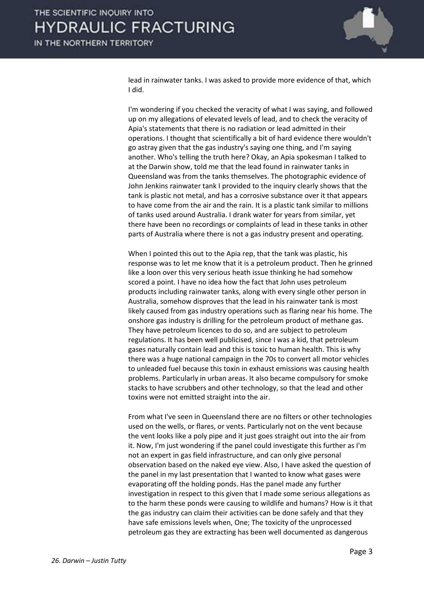

lead in rainwater tanks. I was asked to provide more evidence of that, which I did.

 I'm wondering if you checked the veracity of what I was saying, and followed up on my allegations of elevated levels of lead, and to check the veracity of Apia's statements that there is no radiation or lead admitted in their operations. I thought that scientifically a bit of hard evidence there wouldn't go astray given that the gas industry's saying one thing, and I'm saying another. Who's telling the truth here? Okay, an Apia spokesman I talked to at the Darwin show, told me that the lead found in rainwater tanks in Queensland was from the tanks themselves. The photographic evidence of John Jenkins rainwater tank I provided to the inquiry clearly shows that the tank is plastic not metal, and has a corrosive substance over it that appears to have come from the air and the rain. It is a plastic tank similar to millions of tanks used around Australia. I drank water for years from similar, yet there have been no recordings or complaints of lead in these tanks in other parts of Australia where there is not a gas industry present and operating.

 When I pointed this out to the Apia rep, that the tank was plastic, his response was to let me know that it is a petroleum product. Then he grinned like a loon over this very serious heath issue thinking he had somehow scored a point. I have no idea how the fact that John uses petroleum products including rainwater tanks, along with every single other person in Australia, somehow disproves that the lead in his rainwater tank is most likely caused from gas industry operations such as flaring near his home. The onshore gas industry is drilling for the petroleum product of methane gas. They have petroleum licences to do so, and are subject to petroleum regulations. It has been well publicised, since I was a kid, that petroleum gases naturally contain lead and this is toxic to human health. This is why there was a huge national campaign in the 70s to convert all motor vehicles to unleaded fuel because this toxin in exhaust emissions was causing health problems. Particularly in urban areas. It also became compulsory for smoke stacks to have scrubbers and other technology, so that the lead and other toxins were not emitted straight into the air.

 From what I've seen in Queensland there are no filters or other technologies used on the wells, or flares, or vents. Particularly not on the vent because the vent looks like a poly pipe and it just goes straight out into the air from it. Now, I'm just wondering if the panel could investigate this further as I'm not an expert in gas field infrastructure, and can only give personal observation based on the naked eye view. Also, I have asked the question of the panel in my last presentation that I wanted to know what gases were evaporating off the holding ponds. Has the panel made any further investigation in respect to this given that I made some serious allegations as to the harm these ponds were causing to wildlife and humans? How is it that the gas industry can claim their activities can be done safely and that they have safe emissions levels when, One; The toxicity of the unprocessed petroleum gas they are extracting has been well documented as dangerous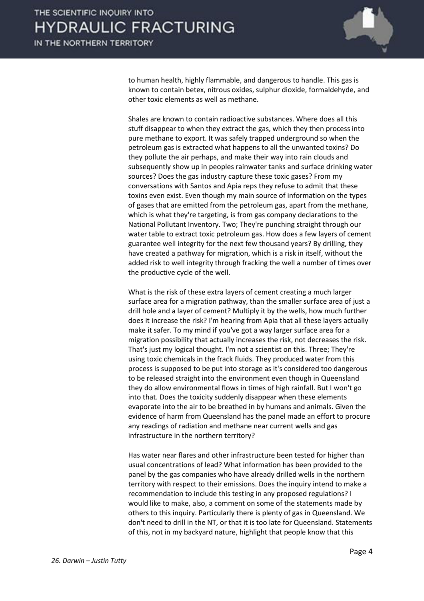

to human health, highly flammable, and dangerous to handle. This gas is known to contain betex, nitrous oxides, sulphur dioxide, formaldehyde, and other toxic elements as well as methane.

 Shales are known to contain radioactive substances. Where does all this stuff disappear to when they extract the gas, which they then process into pure methane to export. It was safely trapped underground so when the petroleum gas is extracted what happens to all the unwanted toxins? Do they pollute the air perhaps, and make their way into rain clouds and subsequently show up in peoples rainwater tanks and surface drinking water sources? Does the gas industry capture these toxic gases? From my conversations with Santos and Apia reps they refuse to admit that these toxins even exist. Even though my main source of information on the types of gases that are emitted from the petroleum gas, apart from the methane, which is what they're targeting, is from gas company declarations to the National Pollutant Inventory. Two; They're punching straight through our water table to extract toxic petroleum gas. How does a few layers of cement guarantee well integrity for the next few thousand years? By drilling, they have created a pathway for migration, which is a risk in itself, without the added risk to well integrity through fracking the well a number of times over the productive cycle of the well.

 What is the risk of these extra layers of cement creating a much larger surface area for a migration pathway, than the smaller surface area of just a drill hole and a layer of cement? Multiply it by the wells, how much further does it increase the risk? I'm hearing from Apia that all these layers actually make it safer. To my mind if you've got a way larger surface area for a migration possibility that actually increases the risk, not decreases the risk. That's just my logical thought. I'm not a scientist on this. Three; They're using toxic chemicals in the frack fluids. They produced water from this process is supposed to be put into storage as it's considered too dangerous to be released straight into the environment even though in Queensland they do allow environmental flows in times of high rainfall. But I won't go into that. Does the toxicity suddenly disappear when these elements evaporate into the air to be breathed in by humans and animals. Given the evidence of harm from Queensland has the panel made an effort to procure any readings of radiation and methane near current wells and gas infrastructure in the northern territory?

 Has water near flares and other infrastructure been tested for higher than usual concentrations of lead? What information has been provided to the panel by the gas companies who have already drilled wells in the northern territory with respect to their emissions. Does the inquiry intend to make a recommendation to include this testing in any proposed regulations? I would like to make, also, a comment on some of the statements made by others to this inquiry. Particularly there is plenty of gas in Queensland. We don't need to drill in the NT, or that it is too late for Queensland. Statements of this, not in my backyard nature, highlight that people know that this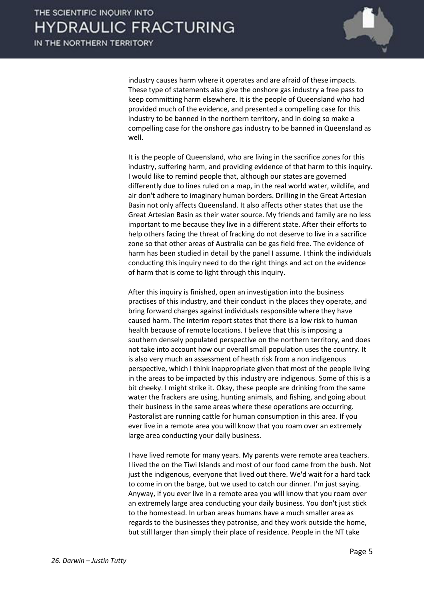

industry causes harm where it operates and are afraid of these impacts. These type of statements also give the onshore gas industry a free pass to keep committing harm elsewhere. It is the people of Queensland who had provided much of the evidence, and presented a compelling case for this industry to be banned in the northern territory, and in doing so make a compelling case for the onshore gas industry to be banned in Queensland as well.

 It is the people of Queensland, who are living in the sacrifice zones for this industry, suffering harm, and providing evidence of that harm to this inquiry. I would like to remind people that, although our states are governed differently due to lines ruled on a map, in the real world water, wildlife, and air don't adhere to imaginary human borders. Drilling in the Great Artesian Basin not only affects Queensland. It also affects other states that use the Great Artesian Basin as their water source. My friends and family are no less important to me because they live in a different state. After their efforts to help others facing the threat of fracking do not deserve to live in a sacrifice zone so that other areas of Australia can be gas field free. The evidence of harm has been studied in detail by the panel I assume. I think the individuals conducting this inquiry need to do the right things and act on the evidence of harm that is come to light through this inquiry.

 After this inquiry is finished, open an investigation into the business practises of this industry, and their conduct in the places they operate, and bring forward charges against individuals responsible where they have caused harm. The interim report states that there is a low risk to human health because of remote locations. I believe that this is imposing a southern densely populated perspective on the northern territory, and does not take into account how our overall small population uses the country. It is also very much an assessment of heath risk from a non indigenous perspective, which I think inappropriate given that most of the people living in the areas to be impacted by this industry are indigenous. Some of this is a bit cheeky. I might strike it. Okay, these people are drinking from the same water the frackers are using, hunting animals, and fishing, and going about their business in the same areas where these operations are occurring. Pastoralist are running cattle for human consumption in this area. If you ever live in a remote area you will know that you roam over an extremely large area conducting your daily business.

 I have lived remote for many years. My parents were remote area teachers. I lived the on the Tiwi Islands and most of our food came from the bush. Not just the indigenous, everyone that lived out there. We'd wait for a hard tack to come in on the barge, but we used to catch our dinner. I'm just saying. Anyway, if you ever live in a remote area you will know that you roam over an extremely large area conducting your daily business. You don't just stick to the homestead. In urban areas humans have a much smaller area as regards to the businesses they patronise, and they work outside the home, but still larger than simply their place of residence. People in the NT take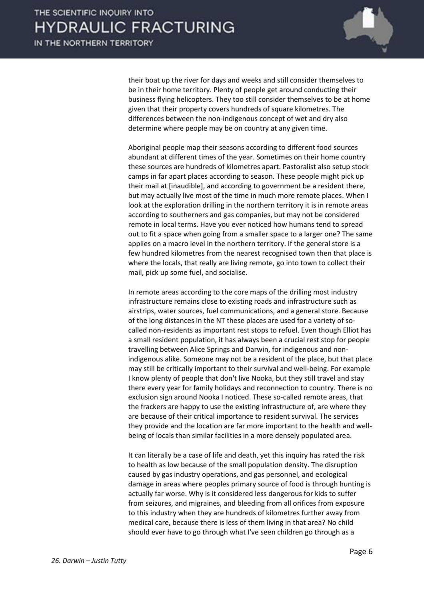

their boat up the river for days and weeks and still consider themselves to be in their home territory. Plenty of people get around conducting their business flying helicopters. They too still consider themselves to be at home given that their property covers hundreds of square kilometres. The differences between the non-indigenous concept of wet and dry also determine where people may be on country at any given time.

 Aboriginal people map their seasons according to different food sources abundant at different times of the year. Sometimes on their home country these sources are hundreds of kilometres apart. Pastoralist also setup stock camps in far apart places according to season. These people might pick up their mail at [inaudible], and according to government be a resident there, but may actually live most of the time in much more remote places. When I look at the exploration drilling in the northern territory it is in remote areas according to southerners and gas companies, but may not be considered remote in local terms. Have you ever noticed how humans tend to spread out to fit a space when going from a smaller space to a larger one? The same applies on a macro level in the northern territory. If the general store is a few hundred kilometres from the nearest recognised town then that place is where the locals, that really are living remote, go into town to collect their mail, pick up some fuel, and socialise.

 In remote areas according to the core maps of the drilling most industry infrastructure remains close to existing roads and infrastructure such as airstrips, water sources, fuel communications, and a general store. Because of the long distances in the NT these places are used for a variety of socalled non-residents as important rest stops to refuel. Even though Elliot has a small resident population, it has always been a crucial rest stop for people travelling between Alice Springs and Darwin, for indigenous and nonindigenous alike. Someone may not be a resident of the place, but that place may still be critically important to their survival and well-being. For example I know plenty of people that don't live Nooka, but they still travel and stay there every year for family holidays and reconnection to country. There is no exclusion sign around Nooka I noticed. These so-called remote areas, that the frackers are happy to use the existing infrastructure of, are where they are because of their critical importance to resident survival. The services they provide and the location are far more important to the health and wellbeing of locals than similar facilities in a more densely populated area.

 It can literally be a case of life and death, yet this inquiry has rated the risk to health as low because of the small population density. The disruption caused by gas industry operations, and gas personnel, and ecological damage in areas where peoples primary source of food is through hunting is actually far worse. Why is it considered less dangerous for kids to suffer from seizures, and migraines, and bleeding from all orifices from exposure to this industry when they are hundreds of kilometres further away from medical care, because there is less of them living in that area? No child should ever have to go through what I've seen children go through as a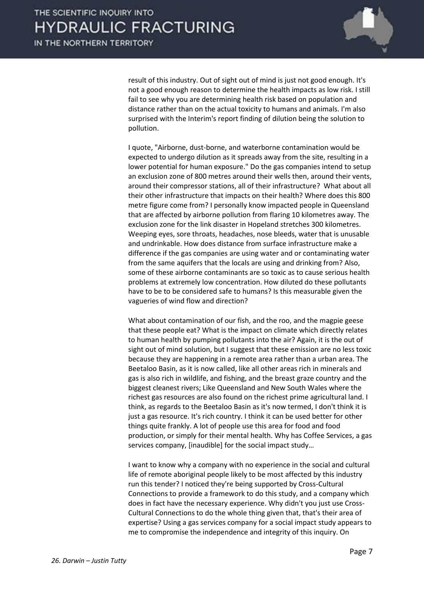

result of this industry. Out of sight out of mind is just not good enough. It's not a good enough reason to determine the health impacts as low risk. I still fail to see why you are determining health risk based on population and distance rather than on the actual toxicity to humans and animals. I'm also surprised with the Interim's report finding of dilution being the solution to pollution.

 I quote, "Airborne, dust-borne, and waterborne contamination would be expected to undergo dilution as it spreads away from the site, resulting in a lower potential for human exposure." Do the gas companies intend to setup an exclusion zone of 800 metres around their wells then, around their vents, around their compressor stations, all of their infrastructure? What about all their other infrastructure that impacts on their health? Where does this 800 metre figure come from? I personally know impacted people in Queensland that are affected by airborne pollution from flaring 10 kilometres away. The exclusion zone for the link disaster in Hopeland stretches 300 kilometres. Weeping eyes, sore throats, headaches, nose bleeds, water that is unusable and undrinkable. How does distance from surface infrastructure make a difference if the gas companies are using water and or contaminating water from the same aquifers that the locals are using and drinking from? Also, some of these airborne contaminants are so toxic as to cause serious health problems at extremely low concentration. How diluted do these pollutants have to be to be considered safe to humans? Is this measurable given the vagueries of wind flow and direction?

 What about contamination of our fish, and the roo, and the magpie geese that these people eat? What is the impact on climate which directly relates to human health by pumping pollutants into the air? Again, it is the out of sight out of mind solution, but I suggest that these emission are no less toxic because they are happening in a remote area rather than a urban area. The Beetaloo Basin, as it is now called, like all other areas rich in minerals and gas is also rich in wildlife, and fishing, and the breast graze country and the biggest cleanest rivers; Like Queensland and New South Wales where the richest gas resources are also found on the richest prime agricultural land. I think, as regards to the Beetaloo Basin as it's now termed, I don't think it is just a gas resource. It's rich country. I think it can be used better for other things quite frankly. A lot of people use this area for food and food production, or simply for their mental health. Why has Coffee Services, a gas services company, [inaudible] for the social impact study...

 I want to know why a company with no experience in the social and cultural life of remote aboriginal people likely to be most affected by this industry run this tender? I noticed they're being supported by Cross-Cultural Connections to provide a framework to do this study, and a company which does in fact have the necessary experience. Why didn't you just use Cross-Cultural Connections to do the whole thing given that, that's their area of expertise? Using a gas services company for a social impact study appears to me to compromise the independence and integrity of this inquiry. On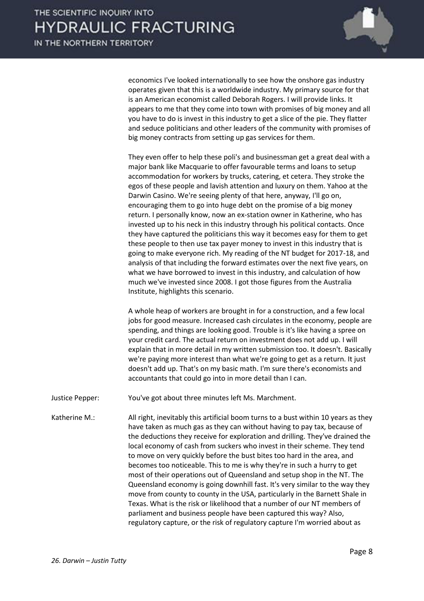

economics I've looked internationally to see how the onshore gas industry operates given that this is a worldwide industry. My primary source for that is an American economist called Deborah Rogers. I will provide links. It appears to me that they come into town with promises of big money and all you have to do is invest in this industry to get a slice of the pie. They flatter and seduce politicians and other leaders of the community with promises of big money contracts from setting up gas services for them.

 They even offer to help these poli's and businessman get a great deal with a major bank like Macquarie to offer favourable terms and loans to setup accommodation for workers by trucks, catering, et cetera. They stroke the egos of these people and lavish attention and luxury on them. Yahoo at the Darwin Casino. We're seeing plenty of that here, anyway, I'll go on, encouraging them to go into huge debt on the promise of a big money return. I personally know, now an ex-station owner in Katherine, who has invested up to his neck in this industry through his political contacts. Once they have captured the politicians this way it becomes easy for them to get these people to then use tax payer money to invest in this industry that is going to make everyone rich. My reading of the NT budget for 2017-18, and analysis of that including the forward estimates over the next five years, on what we have borrowed to invest in this industry, and calculation of how much we've invested since 2008. I got those figures from the Australia Institute, highlights this scenario.

 A whole heap of workers are brought in for a construction, and a few local jobs for good measure. Increased cash circulates in the economy, people are spending, and things are looking good. Trouble is it's like having a spree on your credit card. The actual return on investment does not add up. I will explain that in more detail in my written submission too. It doesn't. Basically we're paying more interest than what we're going to get as a return. It just doesn't add up. That's on my basic math. I'm sure there's economists and accountants that could go into in more detail than I can.

Justice Pepper: You've got about three minutes left Ms. Marchment.

Katherine M.: All right, inevitably this artificial boom turns to a bust within 10 years as they have taken as much gas as they can without having to pay tax, because of the deductions they receive for exploration and drilling. They've drained the local economy of cash from suckers who invest in their scheme. They tend to move on very quickly before the bust bites too hard in the area, and becomes too noticeable. This to me is why they're in such a hurry to get most of their operations out of Queensland and setup shop in the NT. The Queensland economy is going downhill fast. It's very similar to the way they move from county to county in the USA, particularly in the Barnett Shale in Texas. What is the risk or likelihood that a number of our NT members of parliament and business people have been captured this way? Also, regulatory capture, or the risk of regulatory capture I'm worried about as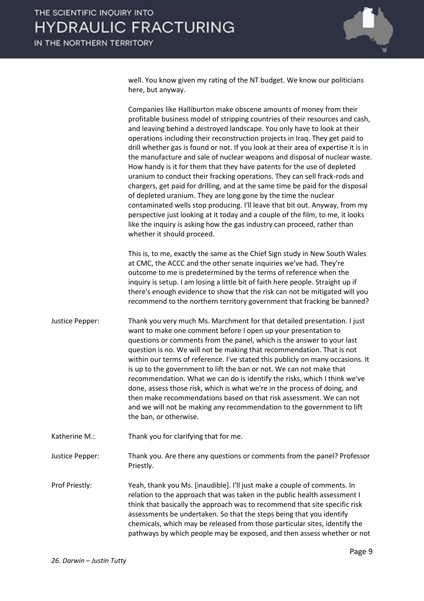

well. You know given my rating of the NT budget. We know our politicians here, but anyway.

 Companies like Halliburton make obscene amounts of money from their profitable business model of stripping countries of their resources and cash, and leaving behind a destroyed landscape. You only have to look at their operations including their reconstruction projects in Iraq. They get paid to drill whether gas is found or not. If you look at their area of expertise it is in the manufacture and sale of nuclear weapons and disposal of nuclear waste. How handy is it for them that they have patents for the use of depleted uranium to conduct their fracking operations. They can sell frack-rods and chargers, get paid for drilling, and at the same time be paid for the disposal of depleted uranium. They are long gone by the time the nuclear contaminated wells stop producing. I'll leave that bit out. Anyway, from my perspective just looking at it today and a couple of the film, to me, it looks like the inquiry is asking how the gas industry can proceed, rather than whether it should proceed.

This is, to me, exactly the same as the Chief Sign study in New South Wales at CMC, the ACCC and the other senate inquiries we've had. They're outcome to me is predetermined by the terms of reference when the inquiry is setup. I am losing a little bit of faith here people. Straight up if there's enough evidence to show that the risk can not be mitigated will you recommend to the northern territory government that fracking be banned?

- Justice Pepper: Thank you very much Ms. Marchment for that detailed presentation. I just want to make one comment before I open up your presentation to questions or comments from the panel, which is the answer to your last question is no. We will not be making that recommendation. That is not within our terms of reference. I've stated this publicly on many occasions. It is up to the government to lift the ban or not. We can not make that recommendation. What we can do is identify the risks, which I think we've done, assess those risk, which is what we're in the process of doing, and then make recommendations based on that risk assessment. We can not and we will not be making any recommendation to the government to lift the ban, or otherwise.
- Katherine M.: Thank you for clarifying that for me.

Justice Pepper: Thank you. Are there any questions or comments from the panel? Professor Priestly.

Prof Priestly: Yeah, thank you Ms. [inaudible]. I'll just make a couple of comments. In relation to the approach that was taken in the public health assessment I think that basically the approach was to recommend that site specific risk assessments be undertaken. So that the steps being that you identify chemicals, which may be released from those particular sites, identify the pathways by which people may be exposed, and then assess whether or not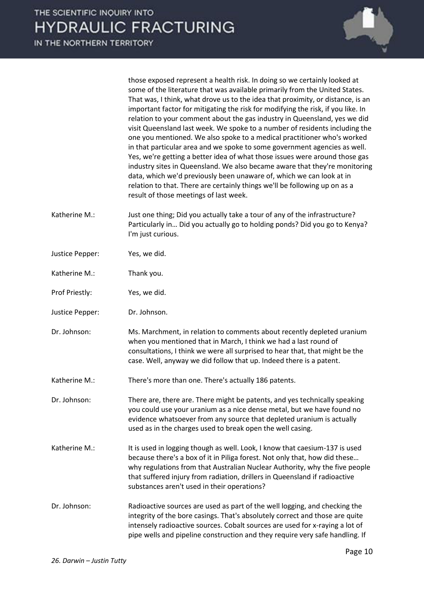

those exposed represent a health risk. In doing so we certainly looked at some of the literature that was available primarily from the United States. That was, I think, what drove us to the idea that proximity, or distance, is an important factor for mitigating the risk for modifying the risk, if you like. In relation to your comment about the gas industry in Queensland, yes we did visit Queensland last week. We spoke to a number of residents including the one you mentioned. We also spoke to a medical practitioner who's worked in that particular area and we spoke to some government agencies as well. Yes, we're getting a better idea of what those issues were around those gas industry sites in Queensland. We also became aware that they're monitoring data, which we'd previously been unaware of, which we can look at in relation to that. There are certainly things we'll be following up on as a result of those meetings of last week.

- Katherine M.: Just one thing; Did you actually take a tour of any of the infrastructure? Particularly in... Did you actually go to holding ponds? Did you go to Kenya? I'm just curious.
- Justice Pepper: Yes, we did.
- Katherine M.: Thank you.
- Prof Priestly: Yes, we did.
- Justice Pepper: Dr. Johnson.
- Dr. Johnson: Ms. Marchment, in relation to comments about recently depleted uranium when you mentioned that in March, I think we had a last round of consultations, I think we were all surprised to hear that, that might be the case. Well, anyway we did follow that up. Indeed there is a patent.
- Katherine M.: There's more than one. There's actually 186 patents.
- Dr. Johnson: There are, there are. There might be patents, and yes technically speaking you could use your uranium as a nice dense metal, but we have found no evidence whatsoever from any source that depleted uranium is actually used as in the charges used to break open the well casing.
- Katherine M.: It is used in logging though as well. Look, I know that caesium-137 is used because there's a box of it in Piliga forest. Not only that, how did these… why regulations from that Australian Nuclear Authority, why the five people that suffered injury from radiation, drillers in Queensland if radioactive substances aren't used in their operations?
- Dr. Johnson: Radioactive sources are used as part of the well logging, and checking the integrity of the bore casings. That's absolutely correct and those are quite intensely radioactive sources. Cobalt sources are used for x-raying a lot of pipe wells and pipeline construction and they require very safe handling. If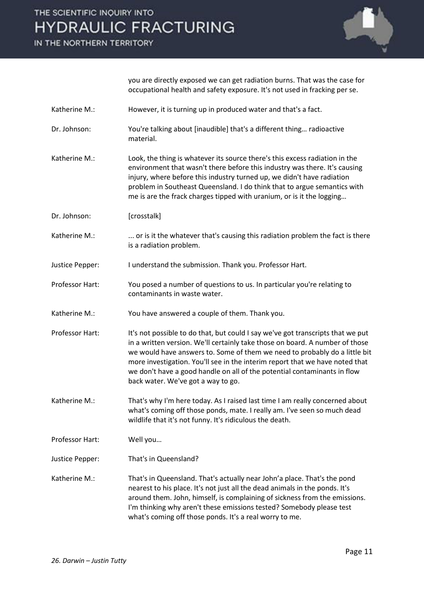# THE SCIENTIFIC INQUIRY INTO **HYDRAULIC FRACTURING**

IN THE NORTHERN TERRITORY



Katherine M.: However, it is turning up in produced water and that's a fact. Dr. Johnson: You're talking about [inaudible] that's a different thing... radioactive material. Katherine M.: Look, the thing is whatever its source there's this excess radiation in the environment that wasn't there before this industry was there. It's causing injury, where before this industry turned up, we didn't have radiation problem in Southeast Queensland. I do think that to argue semantics with me is are the frack charges tipped with uranium, or is it the logging... Dr. Johnson: [crosstalk] Katherine M.: ... or is it the whatever that's causing this radiation problem the fact is there is a radiation problem. Justice Pepper: I understand the submission. Thank you. Professor Hart. Professor Hart: You posed a number of questions to us. In particular you're relating to contaminants in waste water. Katherine M.: You have answered a couple of them. Thank you. Professor Hart: It's not possible to do that, but could I say we've got transcripts that we put in a written version. We'll certainly take those on board. A number of those we would have answers to. Some of them we need to probably do a little bit more investigation. You'll see in the interim report that we have noted that we don't have a good handle on all of the potential contaminants in flow back water. We've got a way to go. Katherine M.: That's why I'm here today. As I raised last time I am really concerned about what's coming off those ponds, mate. I really am. I've seen so much dead wildlife that it's not funny. It's ridiculous the death. Professor Hart: Well you... Justice Pepper: That's in Queensland? Katherine M.: That's in Queensland. That's actually near John'a place. That's the pond nearest to his place. It's not just all the dead animals in the ponds. It's around them. John, himself, is complaining of sickness from the emissions. I'm thinking why aren't these emissions tested? Somebody please test what's coming off those ponds. It's a real worry to me.

you are directly exposed we can get radiation burns. That was the case for occupational health and safety exposure. It's not used in fracking per se.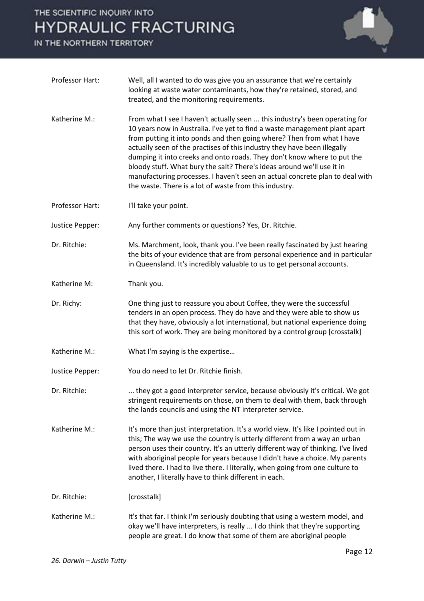## THE SCIENTIFIC INQUIRY INTO **HYDRAULIC FRACTURING**

IN THE NORTHERN TERRITORY



| Professor Hart: | Well, all I wanted to do was give you an assurance that we're certainly<br>looking at waste water contaminants, how they're retained, stored, and<br>treated, and the monitoring requirements.                                                                                                                                                                                                                                                                                                                                                                                                                 |
|-----------------|----------------------------------------------------------------------------------------------------------------------------------------------------------------------------------------------------------------------------------------------------------------------------------------------------------------------------------------------------------------------------------------------------------------------------------------------------------------------------------------------------------------------------------------------------------------------------------------------------------------|
| Katherine M.:   | From what I see I haven't actually seen  this industry's been operating for<br>10 years now in Australia. I've yet to find a waste management plant apart<br>from putting it into ponds and then going where? Then from what I have<br>actually seen of the practises of this industry they have been illegally<br>dumping it into creeks and onto roads. They don't know where to put the<br>bloody stuff. What bury the salt? There's ideas around we'll use it in<br>manufacturing processes. I haven't seen an actual concrete plan to deal with<br>the waste. There is a lot of waste from this industry. |
| Professor Hart: | I'll take your point.                                                                                                                                                                                                                                                                                                                                                                                                                                                                                                                                                                                          |
| Justice Pepper: | Any further comments or questions? Yes, Dr. Ritchie.                                                                                                                                                                                                                                                                                                                                                                                                                                                                                                                                                           |
| Dr. Ritchie:    | Ms. Marchment, look, thank you. I've been really fascinated by just hearing<br>the bits of your evidence that are from personal experience and in particular<br>in Queensland. It's incredibly valuable to us to get personal accounts.                                                                                                                                                                                                                                                                                                                                                                        |
| Katherine M:    | Thank you.                                                                                                                                                                                                                                                                                                                                                                                                                                                                                                                                                                                                     |
| Dr. Richy:      | One thing just to reassure you about Coffee, they were the successful<br>tenders in an open process. They do have and they were able to show us<br>that they have, obviously a lot international, but national experience doing<br>this sort of work. They are being monitored by a control group [crosstalk]                                                                                                                                                                                                                                                                                                  |
| Katherine M.:   | What I'm saying is the expertise                                                                                                                                                                                                                                                                                                                                                                                                                                                                                                                                                                               |
| Justice Pepper: | You do need to let Dr. Ritchie finish.                                                                                                                                                                                                                                                                                                                                                                                                                                                                                                                                                                         |
| Dr. Ritchie:    | they got a good interpreter service, because obviously it's critical. We got<br>stringent requirements on those, on them to deal with them, back through<br>the lands councils and using the NT interpreter service.                                                                                                                                                                                                                                                                                                                                                                                           |
| Katherine M.:   | It's more than just interpretation. It's a world view. It's like I pointed out in<br>this; The way we use the country is utterly different from a way an urban<br>person uses their country. It's an utterly different way of thinking. I've lived<br>with aboriginal people for years because I didn't have a choice. My parents<br>lived there. I had to live there. I literally, when going from one culture to<br>another, I literally have to think different in each.                                                                                                                                    |
| Dr. Ritchie:    | [crosstalk]                                                                                                                                                                                                                                                                                                                                                                                                                                                                                                                                                                                                    |
| Katherine M.:   | It's that far. I think I'm seriously doubting that using a western model, and<br>okay we'll have interpreters, is really  I do think that they're supporting<br>people are great. I do know that some of them are aboriginal people                                                                                                                                                                                                                                                                                                                                                                            |